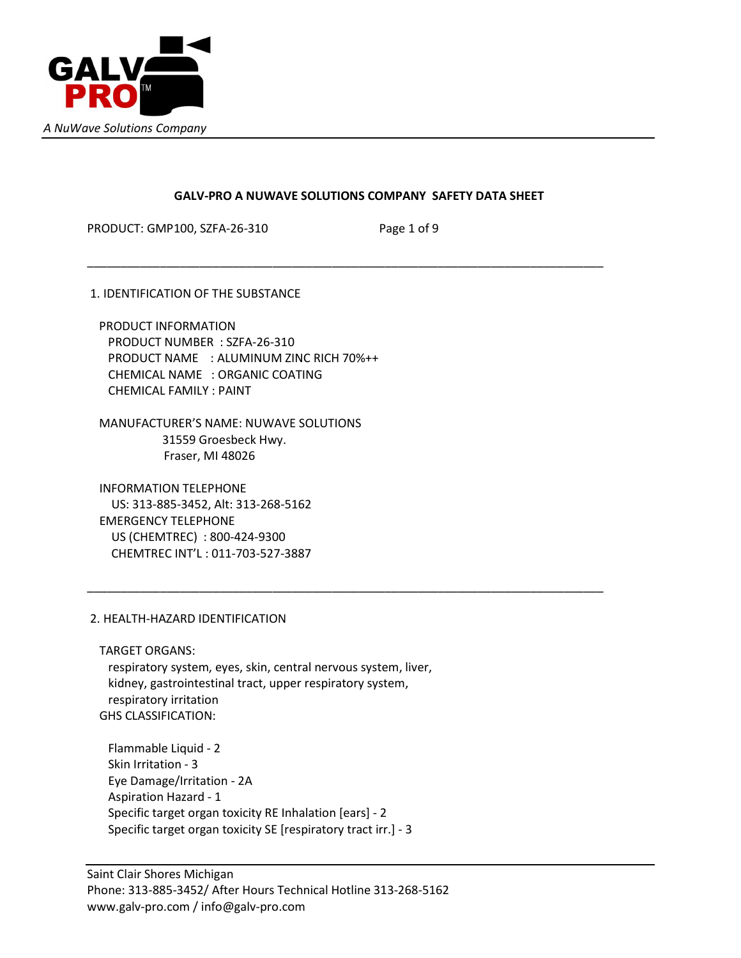

# GALV-PRO A NUWAVE SOLUTIONS COMPANY SAFETY DATA SHEET

\_\_\_\_\_\_\_\_\_\_\_\_\_\_\_\_\_\_\_\_\_\_\_\_\_\_\_\_\_\_\_\_\_\_\_\_\_\_\_\_\_\_\_\_\_\_\_\_\_\_\_\_\_\_\_\_\_\_\_\_\_\_\_\_\_\_\_\_\_\_\_\_\_\_\_\_\_\_

\_\_\_\_\_\_\_\_\_\_\_\_\_\_\_\_\_\_\_\_\_\_\_\_\_\_\_\_\_\_\_\_\_\_\_\_\_\_\_\_\_\_\_\_\_\_\_\_\_\_\_\_\_\_\_\_\_\_\_\_\_\_\_\_\_\_\_\_\_\_\_\_\_\_\_\_\_\_

PRODUCT: GMP100, SZFA-26-310 Page 1 of 9

1. IDENTIFICATION OF THE SUBSTANCE

 PRODUCT INFORMATION PRODUCT NUMBER : SZFA-26-310 PRODUCT NAME : ALUMINUM ZINC RICH 70%++ CHEMICAL NAME : ORGANIC COATING CHEMICAL FAMILY : PAINT

 MANUFACTURER'S NAME: NUWAVE SOLUTIONS 31559 Groesbeck Hwy. Fraser, MI 48026

 INFORMATION TELEPHONE US: 313-885-3452, Alt: 313-268-5162 EMERGENCY TELEPHONE US (CHEMTREC) : 800-424-9300 CHEMTREC INT'L : 011-703-527-3887

# 2. HEALTH-HAZARD IDENTIFICATION

 TARGET ORGANS: respiratory system, eyes, skin, central nervous system, liver, kidney, gastrointestinal tract, upper respiratory system, respiratory irritation

GHS CLASSIFICATION:

 Flammable Liquid - 2 Skin Irritation - 3 Eye Damage/Irritation - 2A Aspiration Hazard - 1 Specific target organ toxicity RE Inhalation [ears] - 2 Specific target organ toxicity SE [respiratory tract irr.] - 3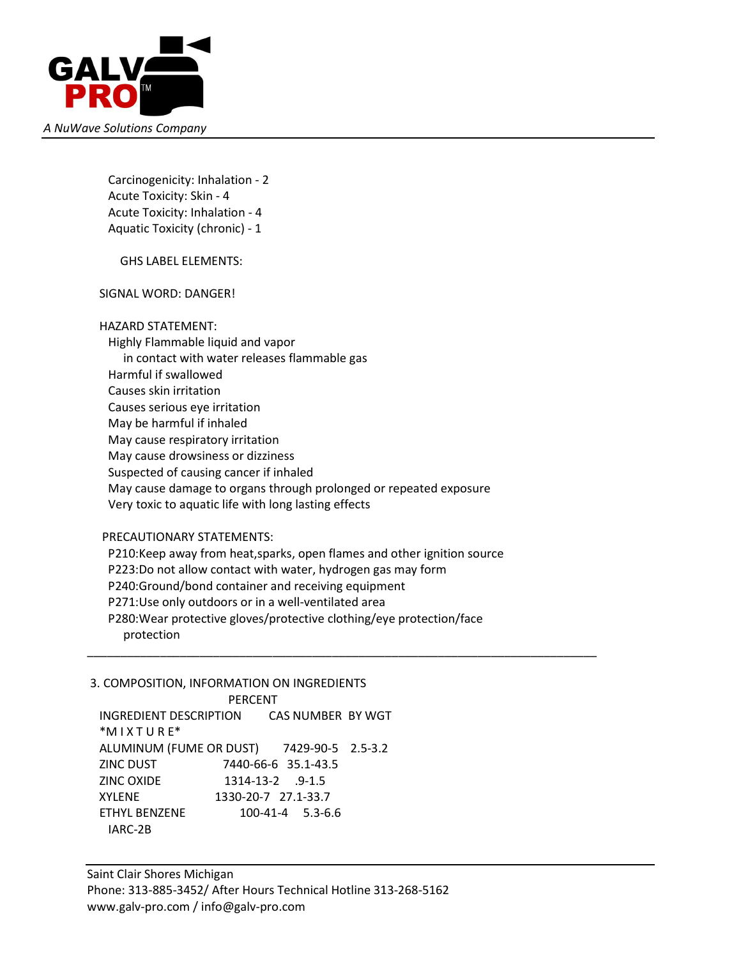

 Carcinogenicity: Inhalation - 2 Acute Toxicity: Skin - 4 Acute Toxicity: Inhalation - 4 Aquatic Toxicity (chronic) - 1

GHS LABEL ELEMENTS:

SIGNAL WORD: DANGER!

HAZARD STATEMENT:

 Highly Flammable liquid and vapor in contact with water releases flammable gas Harmful if swallowed Causes skin irritation Causes serious eye irritation May be harmful if inhaled May cause respiratory irritation May cause drowsiness or dizziness Suspected of causing cancer if inhaled May cause damage to organs through prolonged or repeated exposure Very toxic to aquatic life with long lasting effects

PRECAUTIONARY STATEMENTS:

 P210:Keep away from heat,sparks, open flames and other ignition source P223:Do not allow contact with water, hydrogen gas may form P240:Ground/bond container and receiving equipment P271:Use only outdoors or in a well-ventilated area P280:Wear protective gloves/protective clothing/eye protection/face protection \_\_\_\_\_\_\_\_\_\_\_\_\_\_\_\_\_\_\_\_\_\_\_\_\_\_\_\_\_\_\_\_\_\_\_\_\_\_\_\_\_\_\_\_\_\_\_\_\_\_\_\_\_\_\_\_\_\_\_\_\_\_\_\_\_\_\_\_\_\_\_\_\_\_\_\_\_

3. COMPOSITION, INFORMATION ON INGREDIENTS

 PERCENT INGREDIENT DESCRIPTION CAS NUMBER BY WGT \*M I X T U R E\* ALUMINUM (FUME OR DUST) 7429-90-5 2.5-3.2 ZINC DUST 7440-66-6 35.1-43.5 ZINC OXIDE 1314-13-2 .9-1.5 XYLENE 1330-20-7 27.1-33.7 ETHYL BENZENE 100-41-4 5.3-6.6 IARC-2B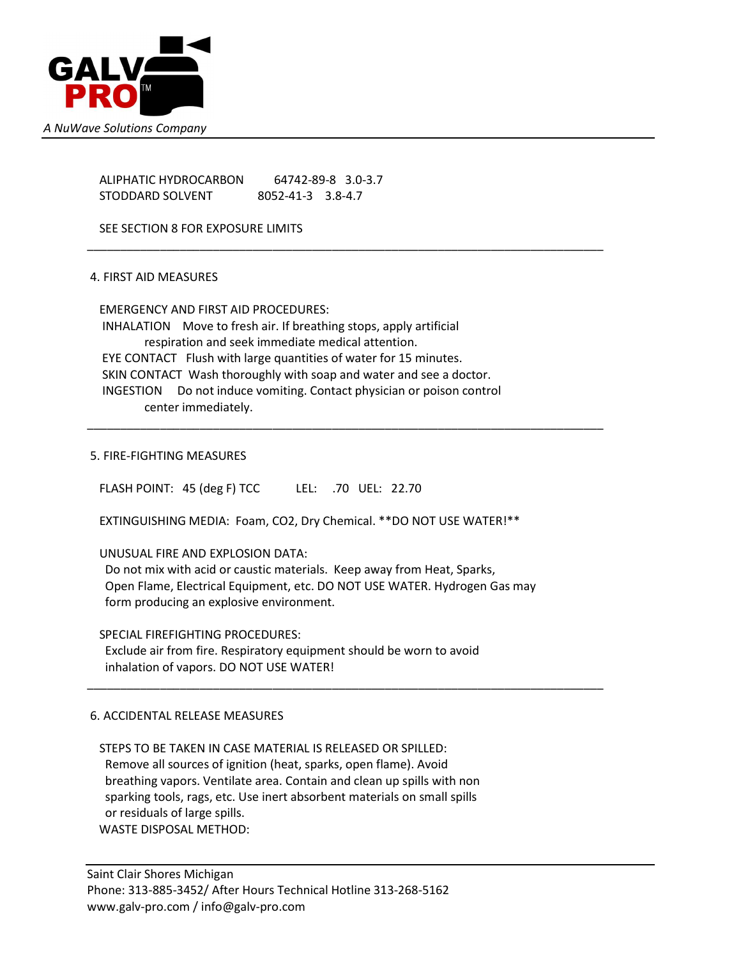

 ALIPHATIC HYDROCARBON 64742-89-8 3.0-3.7 STODDARD SOLVENT 8052-41-3 3.8-4.7

SEE SECTION 8 FOR EXPOSURE LIMITS

# 4. FIRST AID MEASURES

 EMERGENCY AND FIRST AID PROCEDURES: INHALATION Move to fresh air. If breathing stops, apply artificial respiration and seek immediate medical attention. EYE CONTACT Flush with large quantities of water for 15 minutes. SKIN CONTACT Wash thoroughly with soap and water and see a doctor. INGESTION Do not induce vomiting. Contact physician or poison control center immediately.

\_\_\_\_\_\_\_\_\_\_\_\_\_\_\_\_\_\_\_\_\_\_\_\_\_\_\_\_\_\_\_\_\_\_\_\_\_\_\_\_\_\_\_\_\_\_\_\_\_\_\_\_\_\_\_\_\_\_\_\_\_\_\_\_\_\_\_\_\_\_\_\_\_\_\_\_\_\_

\_\_\_\_\_\_\_\_\_\_\_\_\_\_\_\_\_\_\_\_\_\_\_\_\_\_\_\_\_\_\_\_\_\_\_\_\_\_\_\_\_\_\_\_\_\_\_\_\_\_\_\_\_\_\_\_\_\_\_\_\_\_\_\_\_\_\_\_\_\_\_\_\_\_\_\_\_\_

#### 5. FIRE-FIGHTING MEASURES

FLASH POINT: 45 (deg F) TCC LEL: .70 UEL: 22.70

EXTINGUISHING MEDIA: Foam, CO2, Dry Chemical. \*\*DO NOT USE WATER!\*\*

#### UNUSUAL FIRE AND EXPLOSION DATA:

 Do not mix with acid or caustic materials. Keep away from Heat, Sparks, Open Flame, Electrical Equipment, etc. DO NOT USE WATER. Hydrogen Gas may form producing an explosive environment.

\_\_\_\_\_\_\_\_\_\_\_\_\_\_\_\_\_\_\_\_\_\_\_\_\_\_\_\_\_\_\_\_\_\_\_\_\_\_\_\_\_\_\_\_\_\_\_\_\_\_\_\_\_\_\_\_\_\_\_\_\_\_\_\_\_\_\_\_\_\_\_\_\_\_\_\_\_\_

SPECIAL FIREFIGHTING PROCEDURES:

 Exclude air from fire. Respiratory equipment should be worn to avoid inhalation of vapors. DO NOT USE WATER!

#### 6. ACCIDENTAL RELEASE MEASURES

#### STEPS TO BE TAKEN IN CASE MATERIAL IS RELEASED OR SPILLED:

 Remove all sources of ignition (heat, sparks, open flame). Avoid breathing vapors. Ventilate area. Contain and clean up spills with non sparking tools, rags, etc. Use inert absorbent materials on small spills or residuals of large spills. WASTE DISPOSAL METHOD:

Saint Clair Shores Michigan Phone: 313-885-3452/ After Hours Technical Hotline 313-268-5162 www.galv-pro.com / info@galv-pro.com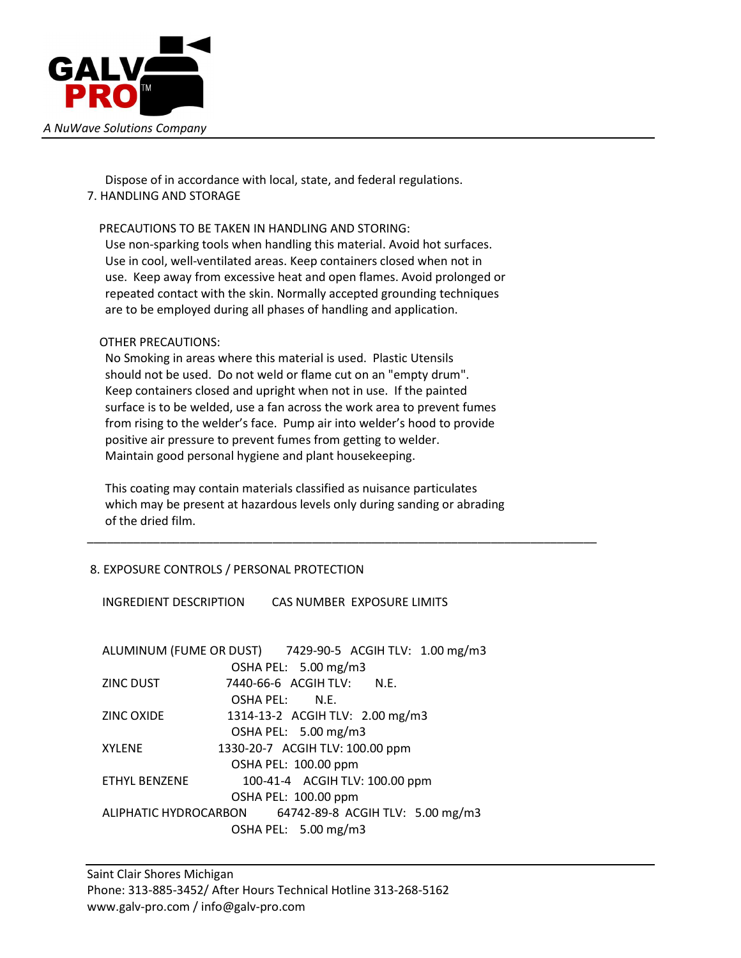

 Dispose of in accordance with local, state, and federal regulations. 7. HANDLING AND STORAGE

# PRECAUTIONS TO BE TAKEN IN HANDLING AND STORING:

 Use non-sparking tools when handling this material. Avoid hot surfaces. Use in cool, well-ventilated areas. Keep containers closed when not in use. Keep away from excessive heat and open flames. Avoid prolonged or repeated contact with the skin. Normally accepted grounding techniques are to be employed during all phases of handling and application.

# OTHER PRECAUTIONS:

 No Smoking in areas where this material is used. Plastic Utensils should not be used. Do not weld or flame cut on an "empty drum". Keep containers closed and upright when not in use. If the painted surface is to be welded, use a fan across the work area to prevent fumes from rising to the welder's face. Pump air into welder's hood to provide positive air pressure to prevent fumes from getting to welder. Maintain good personal hygiene and plant housekeeping.

 This coating may contain materials classified as nuisance particulates which may be present at hazardous levels only during sanding or abrading of the dried film.

\_\_\_\_\_\_\_\_\_\_\_\_\_\_\_\_\_\_\_\_\_\_\_\_\_\_\_\_\_\_\_\_\_\_\_\_\_\_\_\_\_\_\_\_\_\_\_\_\_\_\_\_\_\_\_\_\_\_\_\_\_\_\_\_\_\_\_\_\_\_\_\_\_\_\_\_\_

# 8. EXPOSURE CONTROLS / PERSONAL PROTECTION

INGREDIENT DESCRIPTION CAS NUMBER EXPOSURE LIMITS

|                      | ALUMINUM (FUME OR DUST) 7429-90-5 ACGIH TLV: 1.00 mg/m3 |  |
|----------------------|---------------------------------------------------------|--|
| OSHA PEL: 5.00 mg/m3 |                                                         |  |
| ZINC DUST            | 7440-66-6 ACGIH TLV: N.E.                               |  |
|                      | OSHA PEL: N.E.                                          |  |
| ZINC OXIDE           | 1314-13-2 ACGIH TLV: 2.00 mg/m3                         |  |
|                      | OSHA PEL: 5.00 mg/m3                                    |  |
| <b>XYLENE</b>        | 1330-20-7 ACGIH TLV: 100.00 ppm                         |  |
|                      | OSHA PEL: 100.00 ppm                                    |  |
| <b>FTHYL BENZENE</b> | 100-41-4 ACGIH TLV: 100.00 ppm                          |  |
| OSHA PEL: 100.00 ppm |                                                         |  |
|                      | ALIPHATIC HYDROCARBON 64742-89-8 ACGIH TLV: 5.00 mg/m3  |  |
| OSHA PEL: 5.00 mg/m3 |                                                         |  |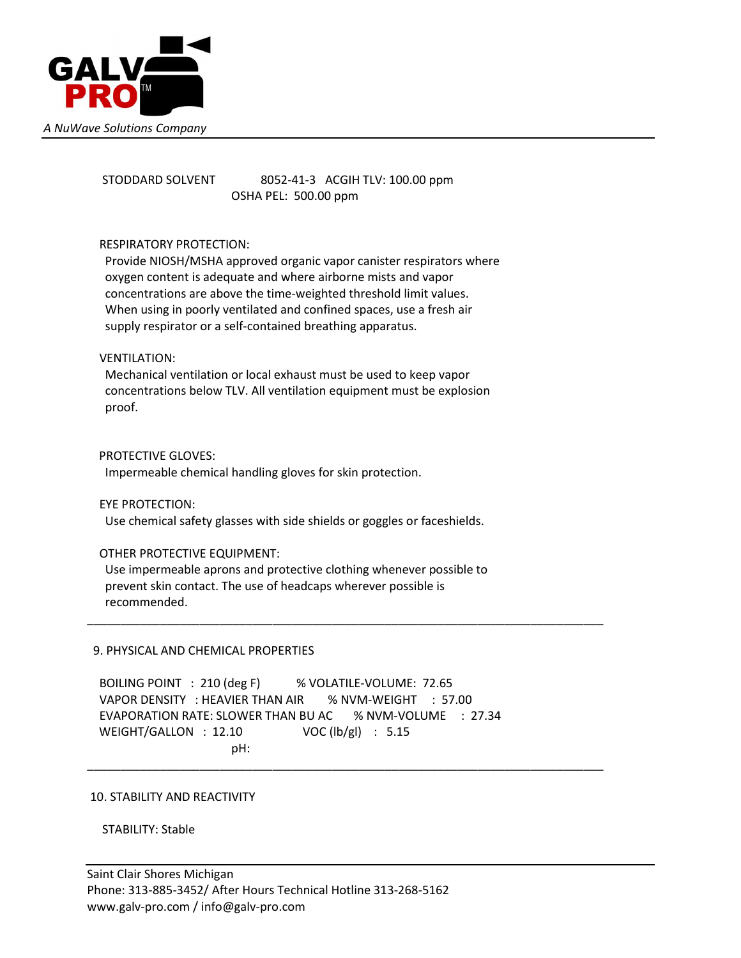

# STODDARD SOLVENT 8052-41-3 ACGIH TLV: 100.00 ppm OSHA PEL: 500.00 ppm

# RESPIRATORY PROTECTION:

 Provide NIOSH/MSHA approved organic vapor canister respirators where oxygen content is adequate and where airborne mists and vapor concentrations are above the time-weighted threshold limit values. When using in poorly ventilated and confined spaces, use a fresh air supply respirator or a self-contained breathing apparatus.

# VENTILATION:

 Mechanical ventilation or local exhaust must be used to keep vapor concentrations below TLV. All ventilation equipment must be explosion proof.

# PROTECTIVE GLOVES:

Impermeable chemical handling gloves for skin protection.

#### EYE PROTECTION:

Use chemical safety glasses with side shields or goggles or faceshields.

#### OTHER PROTECTIVE EQUIPMENT:

 Use impermeable aprons and protective clothing whenever possible to prevent skin contact. The use of headcaps wherever possible is recommended.

\_\_\_\_\_\_\_\_\_\_\_\_\_\_\_\_\_\_\_\_\_\_\_\_\_\_\_\_\_\_\_\_\_\_\_\_\_\_\_\_\_\_\_\_\_\_\_\_\_\_\_\_\_\_\_\_\_\_\_\_\_\_\_\_\_\_\_\_\_\_\_\_\_\_\_\_\_\_

\_\_\_\_\_\_\_\_\_\_\_\_\_\_\_\_\_\_\_\_\_\_\_\_\_\_\_\_\_\_\_\_\_\_\_\_\_\_\_\_\_\_\_\_\_\_\_\_\_\_\_\_\_\_\_\_\_\_\_\_\_\_\_\_\_\_\_\_\_\_\_\_\_\_\_\_\_\_

#### 9. PHYSICAL AND CHEMICAL PROPERTIES

 BOILING POINT : 210 (deg F) % VOLATILE-VOLUME: 72.65 VAPOR DENSITY : HEAVIER THAN AIR % NVM-WEIGHT : 57.00 EVAPORATION RATE: SLOWER THAN BU AC % NVM-VOLUME : 27.34 WEIGHT/GALLON : 12.10 VOC (lb/gl) : 5.15 pH:

#### 10. STABILITY AND REACTIVITY

STABILITY: Stable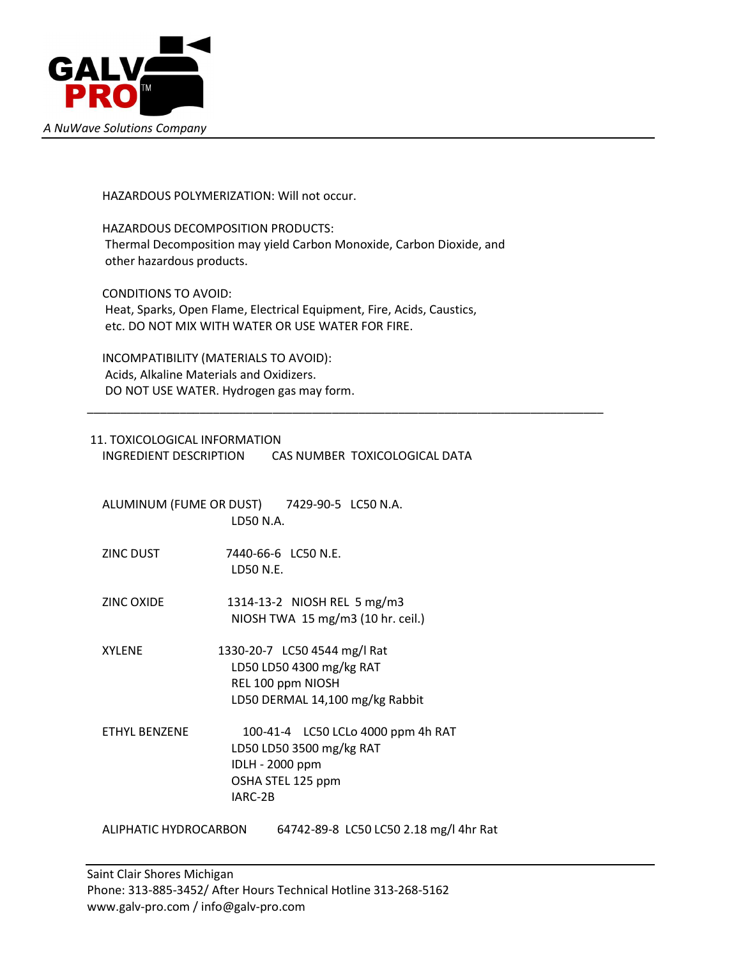

HAZARDOUS POLYMERIZATION: Will not occur.

 HAZARDOUS DECOMPOSITION PRODUCTS: Thermal Decomposition may yield Carbon Monoxide, Carbon Dioxide, and other hazardous products.

 CONDITIONS TO AVOID: Heat, Sparks, Open Flame, Electrical Equipment, Fire, Acids, Caustics, etc. DO NOT MIX WITH WATER OR USE WATER FOR FIRE.

 INCOMPATIBILITY (MATERIALS TO AVOID): Acids, Alkaline Materials and Oxidizers. DO NOT USE WATER. Hydrogen gas may form.

# 11. TOXICOLOGICAL INFORMATION

INGREDIENT DESCRIPTION CAS NUMBER TOXICOLOGICAL DATA

\_\_\_\_\_\_\_\_\_\_\_\_\_\_\_\_\_\_\_\_\_\_\_\_\_\_\_\_\_\_\_\_\_\_\_\_\_\_\_\_\_\_\_\_\_\_\_\_\_\_\_\_\_\_\_\_\_\_\_\_\_\_\_\_\_\_\_\_\_\_\_\_\_\_\_\_\_\_

 ALUMINUM (FUME OR DUST) 7429-90-5 LC50 N.A. LD50 N.A.

- ZINC DUST 7440-66-6 LC50 N.E. LD50 N.E.
- ZINC OXIDE 1314-13-2 NIOSH REL 5 mg/m3 NIOSH TWA 15 mg/m3 (10 hr. ceil.)

 XYLENE 1330-20-7 LC50 4544 mg/l Rat LD50 LD50 4300 mg/kg RAT REL 100 ppm NIOSH LD50 DERMAL 14,100 mg/kg Rabbit

 ETHYL BENZENE 100-41-4 LC50 LCLo 4000 ppm 4h RAT LD50 LD50 3500 mg/kg RAT IDLH - 2000 ppm OSHA STEL 125 ppm IARC-2B

ALIPHATIC HYDROCARBON 64742-89-8 LC50 LC50 2.18 mg/l 4hr Rat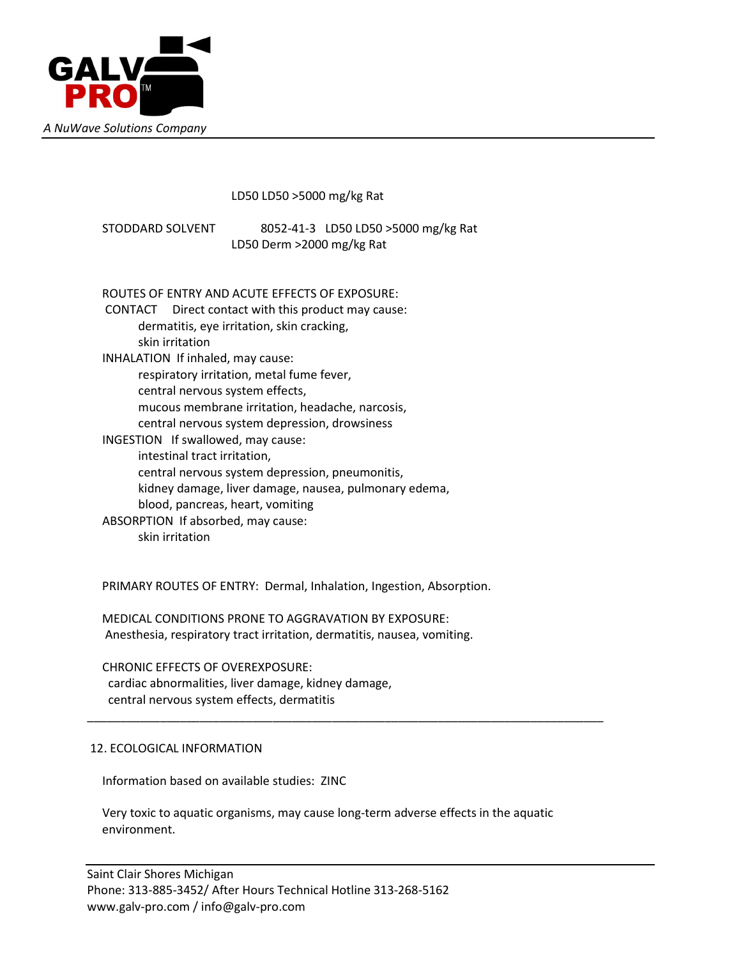

LD50 LD50 >5000 mg/kg Rat

 STODDARD SOLVENT 8052-41-3 LD50 LD50 >5000 mg/kg Rat LD50 Derm >2000 mg/kg Rat

ROUTES OF ENTRY AND ACUTE EFFECTS OF EXPOSURE:

 CONTACT Direct contact with this product may cause: dermatitis, eye irritation, skin cracking, skin irritation INHALATION If inhaled, may cause: respiratory irritation, metal fume fever, central nervous system effects, mucous membrane irritation, headache, narcosis, central nervous system depression, drowsiness INGESTION If swallowed, may cause: intestinal tract irritation, central nervous system depression, pneumonitis, kidney damage, liver damage, nausea, pulmonary edema, blood, pancreas, heart, vomiting ABSORPTION If absorbed, may cause: skin irritation

PRIMARY ROUTES OF ENTRY: Dermal, Inhalation, Ingestion, Absorption.

 MEDICAL CONDITIONS PRONE TO AGGRAVATION BY EXPOSURE: Anesthesia, respiratory tract irritation, dermatitis, nausea, vomiting.

 CHRONIC EFFECTS OF OVEREXPOSURE: cardiac abnormalities, liver damage, kidney damage, central nervous system effects, dermatitis

# 12. ECOLOGICAL INFORMATION

Information based on available studies: ZINC

 Very toxic to aquatic organisms, may cause long-term adverse effects in the aquatic environment.

\_\_\_\_\_\_\_\_\_\_\_\_\_\_\_\_\_\_\_\_\_\_\_\_\_\_\_\_\_\_\_\_\_\_\_\_\_\_\_\_\_\_\_\_\_\_\_\_\_\_\_\_\_\_\_\_\_\_\_\_\_\_\_\_\_\_\_\_\_\_\_\_\_\_\_\_\_\_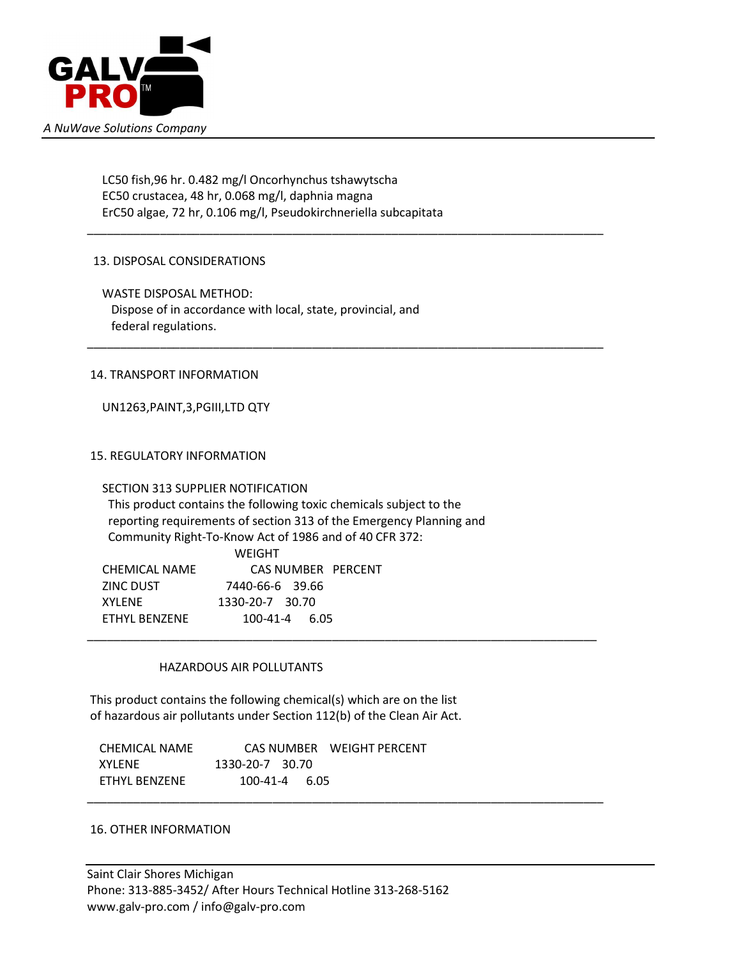

 LC50 fish,96 hr. 0.482 mg/l Oncorhynchus tshawytscha EC50 crustacea, 48 hr, 0.068 mg/l, daphnia magna ErC50 algae, 72 hr, 0.106 mg/l, Pseudokirchneriella subcapitata

\_\_\_\_\_\_\_\_\_\_\_\_\_\_\_\_\_\_\_\_\_\_\_\_\_\_\_\_\_\_\_\_\_\_\_\_\_\_\_\_\_\_\_\_\_\_\_\_\_\_\_\_\_\_\_\_\_\_\_\_\_\_\_\_\_\_\_\_\_\_\_\_\_\_\_\_\_\_

\_\_\_\_\_\_\_\_\_\_\_\_\_\_\_\_\_\_\_\_\_\_\_\_\_\_\_\_\_\_\_\_\_\_\_\_\_\_\_\_\_\_\_\_\_\_\_\_\_\_\_\_\_\_\_\_\_\_\_\_\_\_\_\_\_\_\_\_\_\_\_\_\_\_\_\_\_\_

\_\_\_\_\_\_\_\_\_\_\_\_\_\_\_\_\_\_\_\_\_\_\_\_\_\_\_\_\_\_\_\_\_\_\_\_\_\_\_\_\_\_\_\_\_\_\_\_\_\_\_\_\_\_\_\_\_\_\_\_\_\_\_\_\_\_\_\_\_\_\_\_\_\_\_\_\_

\_\_\_\_\_\_\_\_\_\_\_\_\_\_\_\_\_\_\_\_\_\_\_\_\_\_\_\_\_\_\_\_\_\_\_\_\_\_\_\_\_\_\_\_\_\_\_\_\_\_\_\_\_\_\_\_\_\_\_\_\_\_\_\_\_\_\_\_\_\_\_\_\_\_\_\_\_\_

# 13. DISPOSAL CONSIDERATIONS

 WASTE DISPOSAL METHOD: Dispose of in accordance with local, state, provincial, and federal regulations.

# 14. TRANSPORT INFORMATION

UN1263,PAINT,3,PGIII,LTD QTY

# 15. REGULATORY INFORMATION

#### SECTION 313 SUPPLIER NOTIFICATION

 This product contains the following toxic chemicals subject to the reporting requirements of section 313 of the Emergency Planning and Community Right-To-Know Act of 1986 and of 40 CFR 372: WEIGHT CHEMICAL NAME CAS NUMBER PERCENT

|               | <u>CID JINO INDENI I ENGE</u> |
|---------------|-------------------------------|
| ZINC DUST     | 7440-66-6 39.66               |
| XYI FNF       | 1330-20-7 30.70               |
| FTHYL BFN7FNF | $100-41-4$ 6.05               |
|               |                               |

#### HAZARDOUS AIR POLLUTANTS

 This product contains the following chemical(s) which are on the list of hazardous air pollutants under Section 112(b) of the Clean Air Act.

 CHEMICAL NAME CAS NUMBER WEIGHT PERCENT XYLENE 1330-20-7 30.70 ETHYL BENZENE 100-41-4 6.05

#### 16. OTHER INFORMATION